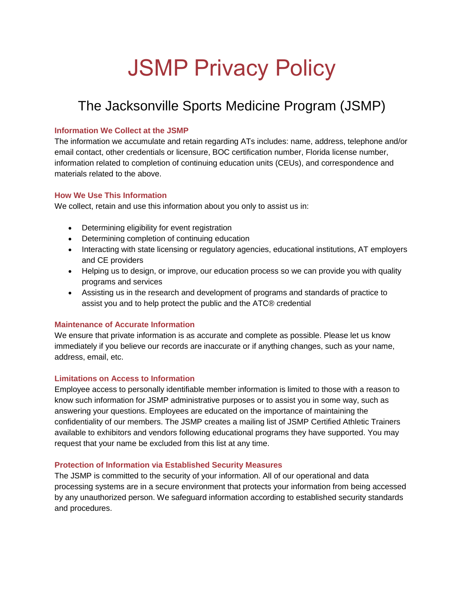# JSMP Privacy Policy

# The Jacksonville Sports Medicine Program (JSMP)

# **Information We Collect at the JSMP**

The information we accumulate and retain regarding ATs includes: name, address, telephone and/or email contact, other credentials or licensure, BOC certification number, Florida license number, information related to completion of continuing education units (CEUs), and correspondence and materials related to the above.

## **How We Use This Information**

We collect, retain and use this information about you only to assist us in:

- Determining eligibility for event registration
- Determining completion of continuing education
- Interacting with state licensing or regulatory agencies, educational institutions, AT employers and CE providers
- Helping us to design, or improve, our education process so we can provide you with quality programs and services
- Assisting us in the research and development of programs and standards of practice to assist you and to help protect the public and the ATC® credential

#### **Maintenance of Accurate Information**

We ensure that private information is as accurate and complete as possible. Please let us know immediately if you believe our records are inaccurate or if anything changes, such as your name, address, email, etc.

#### **Limitations on Access to Information**

Employee access to personally identifiable member information is limited to those with a reason to know such information for JSMP administrative purposes or to assist you in some way, such as answering your questions. Employees are educated on the importance of maintaining the confidentiality of our members. The JSMP creates a mailing list of JSMP Certified Athletic Trainers available to exhibitors and vendors following educational programs they have supported. You may request that your name be excluded from this list at any time.

# **Protection of Information via Established Security Measures**

The JSMP is committed to the security of your information. All of our operational and data processing systems are in a secure environment that protects your information from being accessed by any unauthorized person. We safeguard information according to established security standards and procedures.